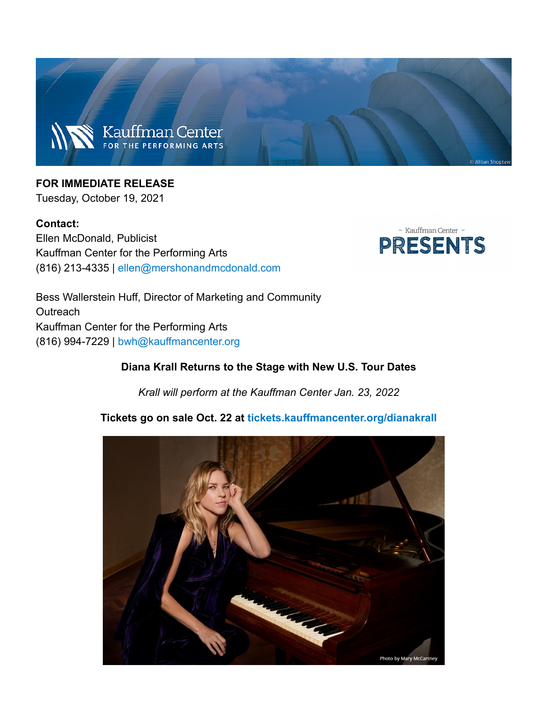

# **FOR IMMEDIATE RELEASE**

Tuesday, October 19, 2021

#### **Contact:**

Ellen McDonald, Publicist Kauffman Center for the Performing Arts (816) 213-4335 | ellen@mershonandmcdonald.com



Bess Wallerstein Huff, Director of Marketing and Community Outreach Kauffman Center for the Performing Arts (816) 994-7229 | bwh@kauffmancenter.org

#### Diana Krall Returns to the Stage with New U.S. Tour Dates

Krall will perform at the Kauffman Center Jan. 23, 2022

#### Tickets go on sale Oct. 22 at tickets.kauffmancenter.org/dianakrall

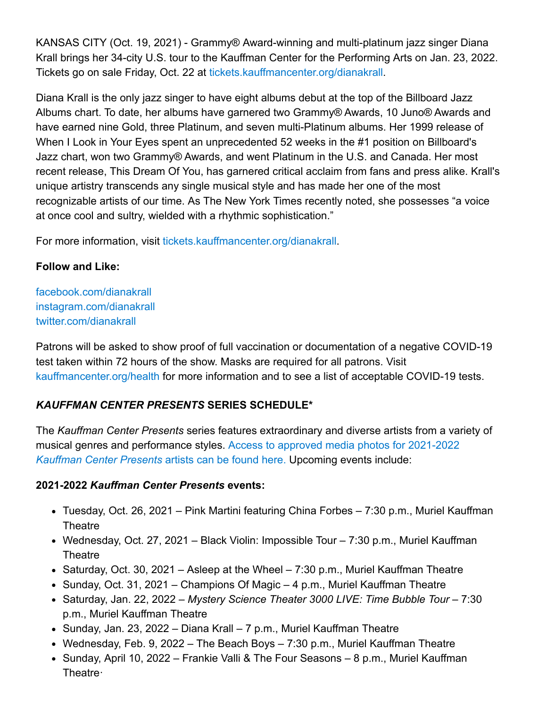KANSAS CITY (Oct. 19, 2021) - Grammy® Award-winning and multi-platinum jazz singer Diana Krall brings her 34-city U.S. tour to the Kauffman Center for the Performing Arts on Jan. 23, 2022. Tickets go on sale Friday, Oct. 22 at tickets.kauffmancenter.org/dianakrall.

Diana Krall is the only jazz singer to have eight albums debut at the top of the Billboard Jazz Albums chart. To date, her albums have garnered two Grammy® Awards, 10 Juno® Awards and have earned nine Gold, three Platinum, and seven multi-Platinum albums. Her 1999 release of When I Look in Your Eyes spent an unprecedented 52 weeks in the #1 position on Billboard's Jazz chart, won two Grammy® Awards, and went Platinum in the U.S. and Canada. Her most recent release, This Dream Of You, has garnered critical acclaim from fans and press alike. Krall's unique artistry transcends any single musical style and has made her one of the most recognizable artists of our time. As The New York Times recently noted, she possesses "a voice at once cool and sultry, wielded with a rhythmic sophistication."

For more information, visit tickets.kauffmancenter.org/dianakrall.

# **Follow and Like:**

facebook.com/dianakrall instagram.com/dianakrall twitter.com/dianakrall

Patrons will be asked to show proof of full vaccination or documentation of a negative COVID-19 test taken within 72 hours of the show. Masks are required for all patrons. Visit kauffmancenter.org/health for more information and to see a list of acceptable COVID-19 tests.

# **KAUFFMAN CENTER PRESENTS SERIES SCHEDULE\***

The Kauffman Center Presents series features extraordinary and diverse artists from a variety of musical genres and performance styles. Access to approved media photos for 2021-2022 Kauffman Center Presents artists can be found here. Upcoming events include:

# 2021-2022 Kauffman Center Presents events:

- Tuesday, Oct. 26, 2021 Pink Martini featuring China Forbes 7:30 p.m., Muriel Kauffman Theatre
- Wednesday, Oct. 27, 2021 Black Violin: Impossible Tour 7:30 p.m., Muriel Kauffman Theatre
- Saturday, Oct. 30, 2021 Asleep at the Wheel 7:30 p.m., Muriel Kauffman Theatre
- Sunday, Oct. 31, 2021 Champions Of Magic 4 p.m., Muriel Kauffman Theatre
- Saturday, Jan. 22, 2022 Mystery Science Theater 3000 LIVE: Time Bubble Tour 7:30 p.m., Muriel Kauffman Theatre
- Sunday, Jan. 23, 2022 Diana Krall 7 p.m., Muriel Kauffman Theatre
- Wednesday, Feb. 9, 2022 The Beach Boys 7:30 p.m., Muriel Kauffman Theatre
- Sunday, April 10, 2022 Frankie Valli & The Four Seasons 8 p.m., Muriel Kauffman Theatre ·